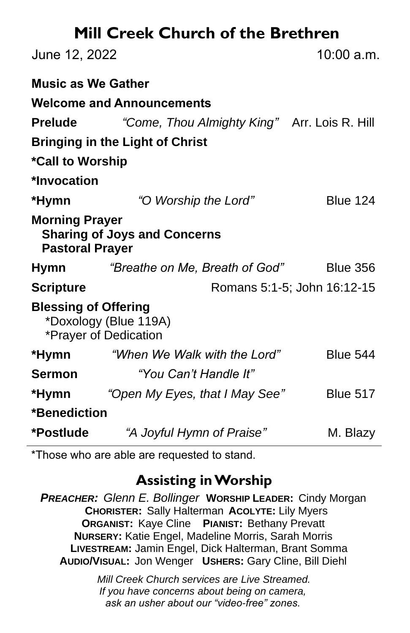# **Mill Creek Church of the Brethren**

| June 12, 2022                                                                          |                                              | 10:00 a.m.                  |  |
|----------------------------------------------------------------------------------------|----------------------------------------------|-----------------------------|--|
| <b>Music as We Gather</b>                                                              |                                              |                             |  |
| <b>Welcome and Announcements</b>                                                       |                                              |                             |  |
| <b>Prelude</b>                                                                         | "Come, Thou Almighty King" Arr. Lois R. Hill |                             |  |
| <b>Bringing in the Light of Christ</b>                                                 |                                              |                             |  |
| *Call to Worship                                                                       |                                              |                             |  |
| *Invocation                                                                            |                                              |                             |  |
| *Hymn                                                                                  | "O Worship the Lord"                         | <b>Blue 124</b>             |  |
| <b>Morning Prayer</b><br><b>Sharing of Joys and Concerns</b><br><b>Pastoral Prayer</b> |                                              |                             |  |
| Hymn                                                                                   | "Breathe on Me, Breath of God"               | <b>Blue 356</b>             |  |
| <b>Scripture</b>                                                                       |                                              | Romans 5:1-5; John 16:12-15 |  |
| <b>Blessing of Offering</b><br>*Doxology (Blue 119A)<br>*Prayer of Dedication          |                                              |                             |  |
| *Hymn                                                                                  | "When We Walk with the Lord"                 | <b>Blue 544</b>             |  |
| <b>Sermon</b>                                                                          | "You Can't Handle It"                        |                             |  |
| *Hymn                                                                                  | "Open My Eyes, that I May See"               | <b>Blue 517</b>             |  |
| *Benediction                                                                           |                                              |                             |  |
| *Postlude                                                                              | "A Joyful Hymn of Praise"                    | M. Blazy                    |  |

\*Those who are able are requested to stand.

## **Assisting in Worship**

*PREACHER: Glenn E. Bollinger* **WORSHIP LEADER:** Cindy Morgan **CHORISTER:** Sally Halterman **ACOLYTE:** Lily Myers **ORGANIST:** Kaye Cline **PIANIST:** Bethany Prevatt **NURSERY:** Katie Engel, Madeline Morris, Sarah Morris **LIVESTREAM:** Jamin Engel, Dick Halterman, Brant Somma **AUDIO/VISUAL:** Jon Wenger **USHERS:** Gary Cline, Bill Diehl

> *Mill Creek Church services are Live Streamed. If you have concerns about being on camera, ask an usher about our "video-free" zones.*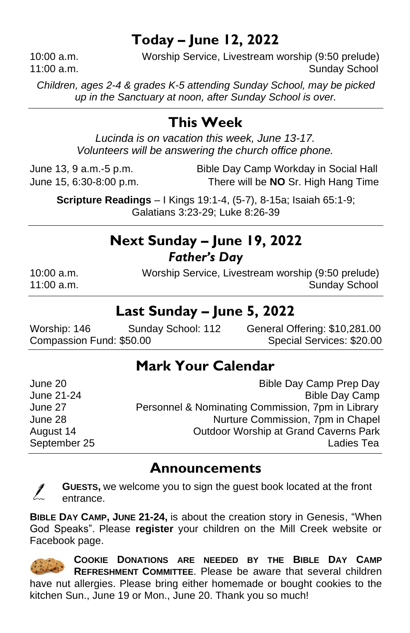## **Today – June 12, 2022**

10:00 a.m. Worship Service, Livestream worship (9:50 prelude) 11:00 a.m. Sunday School and Sunday School and Sunday School and Sunday School and Sunday School and Sunday School

*Children, ages 2-4 & grades K-5 attending Sunday School, may be picked up in the Sanctuary at noon, after Sunday School is over.*

## **This Week**

*Lucinda is on vacation this week, June 13-17. Volunteers will be answering the church office phone.*

June 13, 9 a.m.-5 p.m. Bible Day Camp Workday in Social Hall June 15, 6:30-8:00 p.m. There will be **NO** Sr. High Hang Time

**Scripture Readings** – I Kings 19:1-4, (5-7), 8-15a; Isaiah 65:1-9; Galatians 3:23-29; Luke 8:26-39

### **Next Sunday – June 19, 2022** *Father's Day*

10:00 a.m. Worship Service, Livestream worship (9:50 prelude) 11:00 a.m. Sunday School and Sunday School and Sunday School Sunday School and Sunday School and Sunday School

### **Last Sunday – June 5, 2022**

Worship: 146 Sunday School: 112 General Offering: \$10,281.00 Compassion Fund: \$50.00 Special Services: \$20.00

## **Mark Your Calendar**

| June 20      | Bible Day Camp Prep Day                           |
|--------------|---------------------------------------------------|
| June 21-24   | <b>Bible Day Camp</b>                             |
| June 27      | Personnel & Nominating Commission, 7pm in Library |
| June 28      | Nurture Commission, 7pm in Chapel                 |
| August 14    | <b>Outdoor Worship at Grand Caverns Park</b>      |
| September 25 | Ladies Tea                                        |

#### **Announcements**

**GUESTS,** we welcome you to sign the guest book located at the front entrance.

**BIBLE DAY CAMP, JUNE 21-24,** is about the creation story in Genesis, "When God Speaks". Please **register** your children on the Mill Creek website or Facebook page.

**COOKIE DONATIONS ARE NEEDED BY THE BIBLE DAY CAMP REFRESHMENT COMMITTEE**. Please be aware that several children have nut allergies. Please bring either homemade or bought cookies to the kitchen Sun., June 19 or Mon., June 20. Thank you so much!